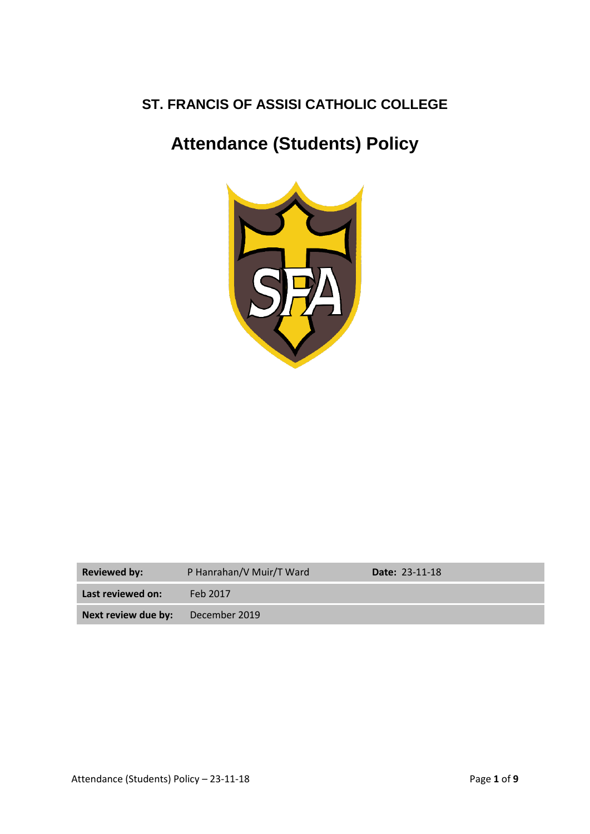# **ST. FRANCIS OF ASSISI CATHOLIC COLLEGE**

# **Attendance (Students) Policy**



| <b>Reviewed by:</b>                      | P Hanrahan/V Muir/T Ward | <b>Date: 23-11-18</b> |
|------------------------------------------|--------------------------|-----------------------|
| Last reviewed on:                        | Feb 2017                 |                       |
| <b>Next review due by:</b> December 2019 |                          |                       |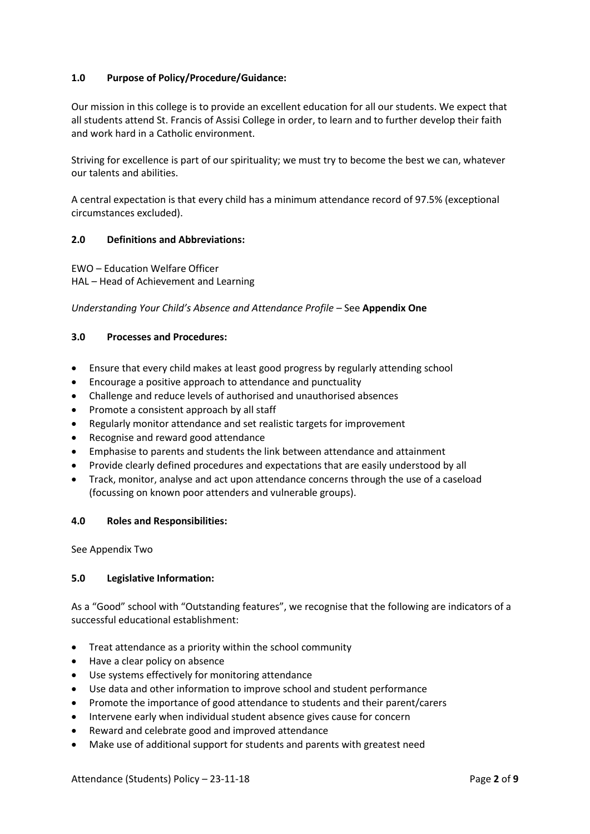# **1.0 Purpose of Policy/Procedure/Guidance:**

Our mission in this college is to provide an excellent education for all our students. We expect that all students attend St. Francis of Assisi College in order, to learn and to further develop their faith and work hard in a Catholic environment.

Striving for excellence is part of our spirituality; we must try to become the best we can, whatever our talents and abilities.

A central expectation is that every child has a minimum attendance record of 97.5% (exceptional circumstances excluded).

#### **2.0 Definitions and Abbreviations:**

EWO – Education Welfare Officer HAL – Head of Achievement and Learning

#### *Understanding Your Child's Absence and Attendance Profile –* See **Appendix One**

#### **3.0 Processes and Procedures:**

- Ensure that every child makes at least good progress by regularly attending school
- Encourage a positive approach to attendance and punctuality
- Challenge and reduce levels of authorised and unauthorised absences
- Promote a consistent approach by all staff
- Regularly monitor attendance and set realistic targets for improvement
- Recognise and reward good attendance
- Emphasise to parents and students the link between attendance and attainment
- Provide clearly defined procedures and expectations that are easily understood by all
- Track, monitor, analyse and act upon attendance concerns through the use of a caseload (focussing on known poor attenders and vulnerable groups).

#### **4.0 Roles and Responsibilities:**

See Appendix Two

#### **5.0 Legislative Information:**

As a "Good" school with "Outstanding features", we recognise that the following are indicators of a successful educational establishment:

- Treat attendance as a priority within the school community
- Have a clear policy on absence
- Use systems effectively for monitoring attendance
- Use data and other information to improve school and student performance
- Promote the importance of good attendance to students and their parent/carers
- Intervene early when individual student absence gives cause for concern
- Reward and celebrate good and improved attendance
- Make use of additional support for students and parents with greatest need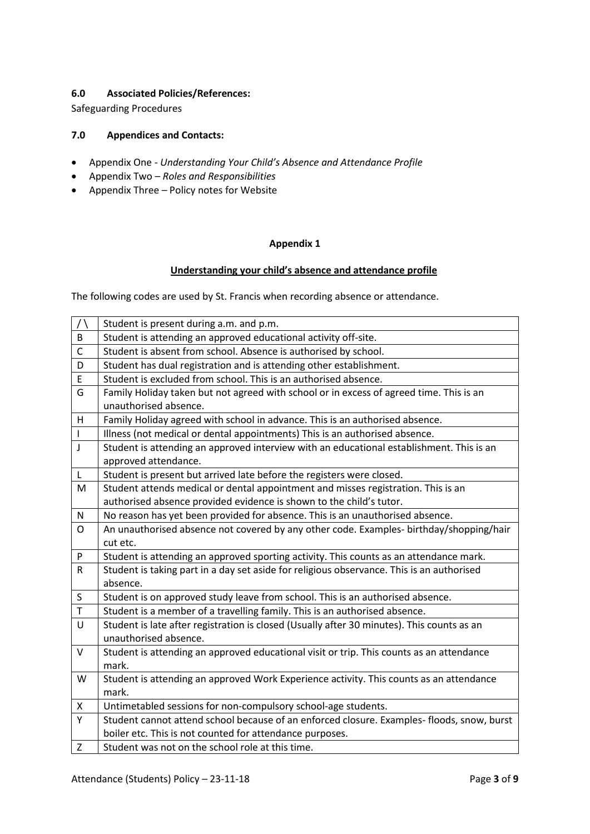# **6.0 Associated Policies/References:**

Safeguarding Procedures

# **7.0 Appendices and Contacts:**

- Appendix One *Understanding Your Child's Absence and Attendance Profile*
- Appendix Two *Roles and Responsibilities*
- Appendix Three Policy notes for Website

## **Appendix 1**

#### **Understanding your child's absence and attendance profile**

The following codes are used by St. Francis when recording absence or attendance.

| $\bigwedge$  | Student is present during a.m. and p.m.                                                                                                               |
|--------------|-------------------------------------------------------------------------------------------------------------------------------------------------------|
| B            | Student is attending an approved educational activity off-site.                                                                                       |
| $\mathsf{C}$ | Student is absent from school. Absence is authorised by school.                                                                                       |
| D            | Student has dual registration and is attending other establishment.                                                                                   |
| E            | Student is excluded from school. This is an authorised absence.                                                                                       |
| G            | Family Holiday taken but not agreed with school or in excess of agreed time. This is an<br>unauthorised absence.                                      |
| H            | Family Holiday agreed with school in advance. This is an authorised absence.                                                                          |
| $\mathbf{I}$ | Illness (not medical or dental appointments) This is an authorised absence.                                                                           |
| $\mathsf{J}$ | Student is attending an approved interview with an educational establishment. This is an<br>approved attendance.                                      |
| L            | Student is present but arrived late before the registers were closed.                                                                                 |
| M            | Student attends medical or dental appointment and misses registration. This is an                                                                     |
|              | authorised absence provided evidence is shown to the child's tutor.                                                                                   |
| N            | No reason has yet been provided for absence. This is an unauthorised absence.                                                                         |
| $\mathsf{O}$ | An unauthorised absence not covered by any other code. Examples- birthday/shopping/hair                                                               |
|              | cut etc.                                                                                                                                              |
| P            | Student is attending an approved sporting activity. This counts as an attendance mark.                                                                |
| ${\sf R}$    | Student is taking part in a day set aside for religious observance. This is an authorised<br>absence.                                                 |
| S            | Student is on approved study leave from school. This is an authorised absence.                                                                        |
| $\mathsf T$  | Student is a member of a travelling family. This is an authorised absence.                                                                            |
| U            | Student is late after registration is closed (Usually after 30 minutes). This counts as an<br>unauthorised absence.                                   |
| $\mathsf{V}$ | Student is attending an approved educational visit or trip. This counts as an attendance                                                              |
| W            | mark.                                                                                                                                                 |
|              | Student is attending an approved Work Experience activity. This counts as an attendance<br>mark.                                                      |
| X            | Untimetabled sessions for non-compulsory school-age students.                                                                                         |
| Υ            |                                                                                                                                                       |
|              | Student cannot attend school because of an enforced closure. Examples-floods, snow, burst<br>boiler etc. This is not counted for attendance purposes. |
| Z            | Student was not on the school role at this time.                                                                                                      |
|              |                                                                                                                                                       |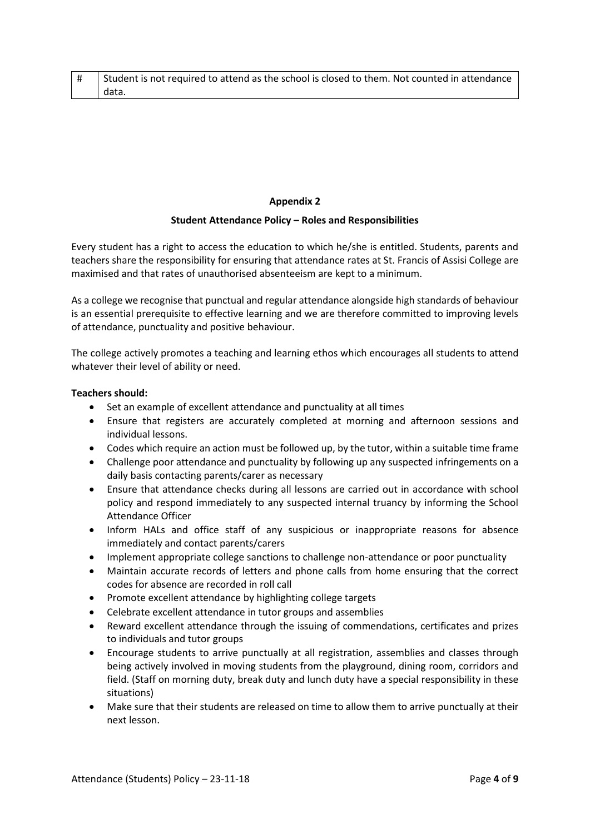| # Student is not required to attend as the school is closed to them. Not counted in attendance |
|------------------------------------------------------------------------------------------------|
| I data.                                                                                        |

#### **Appendix 2**

#### **Student Attendance Policy – Roles and Responsibilities**

Every student has a right to access the education to which he/she is entitled. Students, parents and teachers share the responsibility for ensuring that attendance rates at St. Francis of Assisi College are maximised and that rates of unauthorised absenteeism are kept to a minimum.

As a college we recognise that punctual and regular attendance alongside high standards of behaviour is an essential prerequisite to effective learning and we are therefore committed to improving levels of attendance, punctuality and positive behaviour.

The college actively promotes a teaching and learning ethos which encourages all students to attend whatever their level of ability or need.

#### **Teachers should:**

- Set an example of excellent attendance and punctuality at all times
- Ensure that registers are accurately completed at morning and afternoon sessions and individual lessons.
- Codes which require an action must be followed up, by the tutor, within a suitable time frame
- Challenge poor attendance and punctuality by following up any suspected infringements on a daily basis contacting parents/carer as necessary
- Ensure that attendance checks during all lessons are carried out in accordance with school policy and respond immediately to any suspected internal truancy by informing the School Attendance Officer
- Inform HALs and office staff of any suspicious or inappropriate reasons for absence immediately and contact parents/carers
- Implement appropriate college sanctions to challenge non-attendance or poor punctuality
- Maintain accurate records of letters and phone calls from home ensuring that the correct codes for absence are recorded in roll call
- Promote excellent attendance by highlighting college targets
- Celebrate excellent attendance in tutor groups and assemblies
- Reward excellent attendance through the issuing of commendations, certificates and prizes to individuals and tutor groups
- Encourage students to arrive punctually at all registration, assemblies and classes through being actively involved in moving students from the playground, dining room, corridors and field. (Staff on morning duty, break duty and lunch duty have a special responsibility in these situations)
- Make sure that their students are released on time to allow them to arrive punctually at their next lesson.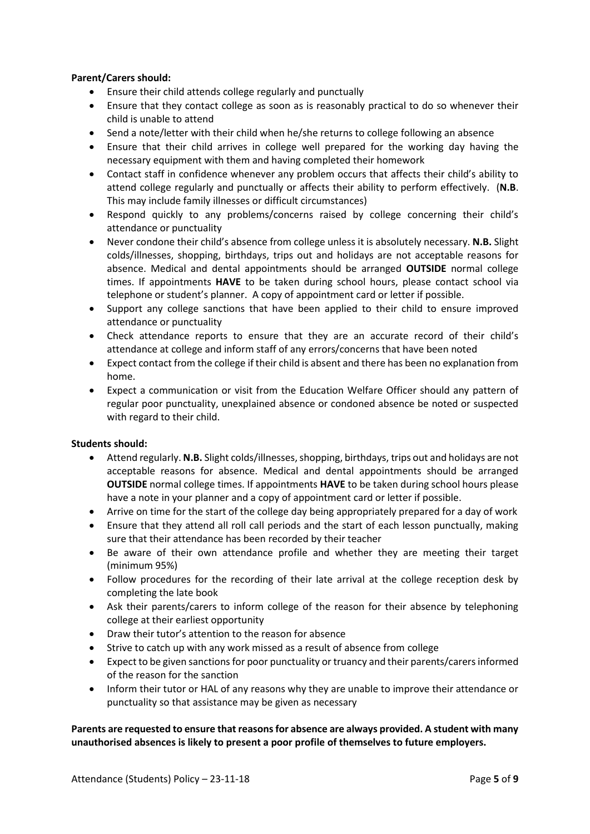#### **Parent/Carers should:**

- Ensure their child attends college regularly and punctually
- Ensure that they contact college as soon as is reasonably practical to do so whenever their child is unable to attend
- Send a note/letter with their child when he/she returns to college following an absence
- Ensure that their child arrives in college well prepared for the working day having the necessary equipment with them and having completed their homework
- Contact staff in confidence whenever any problem occurs that affects their child's ability to attend college regularly and punctually or affects their ability to perform effectively. (**N.B**. This may include family illnesses or difficult circumstances)
- Respond quickly to any problems/concerns raised by college concerning their child's attendance or punctuality
- Never condone their child's absence from college unless it is absolutely necessary. **N.B.** Slight colds/illnesses, shopping, birthdays, trips out and holidays are not acceptable reasons for absence. Medical and dental appointments should be arranged **OUTSIDE** normal college times. If appointments **HAVE** to be taken during school hours, please contact school via telephone or student's planner. A copy of appointment card or letter if possible.
- Support any college sanctions that have been applied to their child to ensure improved attendance or punctuality
- Check attendance reports to ensure that they are an accurate record of their child's attendance at college and inform staff of any errors/concerns that have been noted
- Expect contact from the college if their child is absent and there has been no explanation from home.
- Expect a communication or visit from the Education Welfare Officer should any pattern of regular poor punctuality, unexplained absence or condoned absence be noted or suspected with regard to their child.

#### **Students should:**

- Attend regularly. **N.B.** Slight colds/illnesses,shopping, birthdays, trips out and holidays are not acceptable reasons for absence. Medical and dental appointments should be arranged **OUTSIDE** normal college times. If appointments **HAVE** to be taken during school hours please have a note in your planner and a copy of appointment card or letter if possible.
- Arrive on time for the start of the college day being appropriately prepared for a day of work
- Ensure that they attend all roll call periods and the start of each lesson punctually, making sure that their attendance has been recorded by their teacher
- Be aware of their own attendance profile and whether they are meeting their target (minimum 95%)
- Follow procedures for the recording of their late arrival at the college reception desk by completing the late book
- Ask their parents/carers to inform college of the reason for their absence by telephoning college at their earliest opportunity
- Draw their tutor's attention to the reason for absence
- Strive to catch up with any work missed as a result of absence from college
- Expect to be given sanctions for poor punctuality or truancy and their parents/carers informed of the reason for the sanction
- Inform their tutor or HAL of any reasons why they are unable to improve their attendance or punctuality so that assistance may be given as necessary

**Parents are requested to ensure that reasons for absence are always provided. A student with many unauthorised absences is likely to present a poor profile of themselves to future employers.**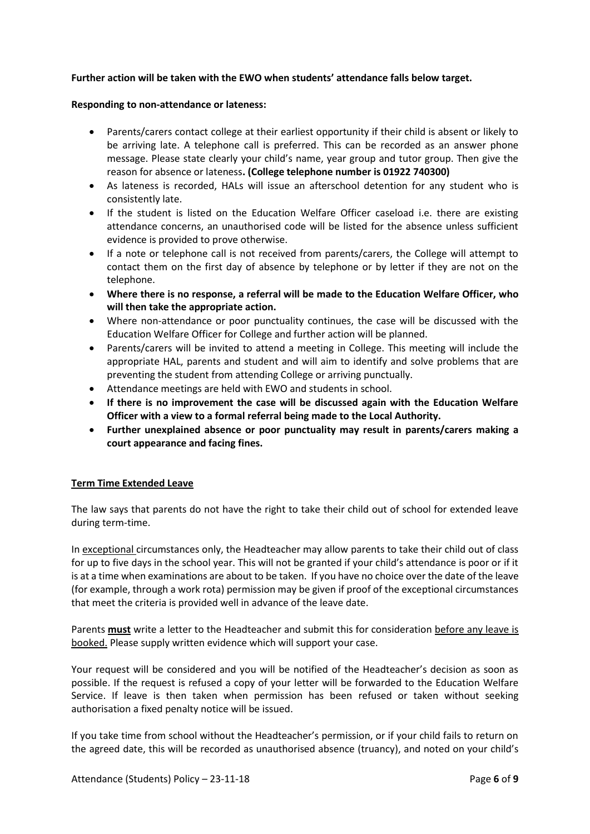#### **Further action will be taken with the EWO when students' attendance falls below target.**

#### **Responding to non-attendance or lateness:**

- Parents/carers contact college at their earliest opportunity if their child is absent or likely to be arriving late. A telephone call is preferred. This can be recorded as an answer phone message. Please state clearly your child's name, year group and tutor group. Then give the reason for absence or lateness**. (College telephone number is 01922 740300)**
- As lateness is recorded, HALs will issue an afterschool detention for any student who is consistently late.
- If the student is listed on the Education Welfare Officer caseload i.e. there are existing attendance concerns, an unauthorised code will be listed for the absence unless sufficient evidence is provided to prove otherwise.
- If a note or telephone call is not received from parents/carers, the College will attempt to contact them on the first day of absence by telephone or by letter if they are not on the telephone.
- **Where there is no response, a referral will be made to the Education Welfare Officer, who will then take the appropriate action.**
- Where non-attendance or poor punctuality continues, the case will be discussed with the Education Welfare Officer for College and further action will be planned.
- Parents/carers will be invited to attend a meeting in College. This meeting will include the appropriate HAL, parents and student and will aim to identify and solve problems that are preventing the student from attending College or arriving punctually.
- Attendance meetings are held with EWO and students in school.
- **If there is no improvement the case will be discussed again with the Education Welfare Officer with a view to a formal referral being made to the Local Authority.**
- **Further unexplained absence or poor punctuality may result in parents/carers making a court appearance and facing fines.**

#### **Term Time Extended Leave**

The law says that parents do not have the right to take their child out of school for extended leave during term-time.

In exceptional circumstances only, the Headteacher may allow parents to take their child out of class for up to five days in the school year. This will not be granted if your child's attendance is poor or if it is at a time when examinations are about to be taken. If you have no choice over the date of the leave (for example, through a work rota) permission may be given if proof of the exceptional circumstances that meet the criteria is provided well in advance of the leave date.

Parents **must** write a letter to the Headteacher and submit this for consideration before any leave is booked. Please supply written evidence which will support your case.

Your request will be considered and you will be notified of the Headteacher's decision as soon as possible. If the request is refused a copy of your letter will be forwarded to the Education Welfare Service. If leave is then taken when permission has been refused or taken without seeking authorisation a fixed penalty notice will be issued.

If you take time from school without the Headteacher's permission, or if your child fails to return on the agreed date, this will be recorded as unauthorised absence (truancy), and noted on your child's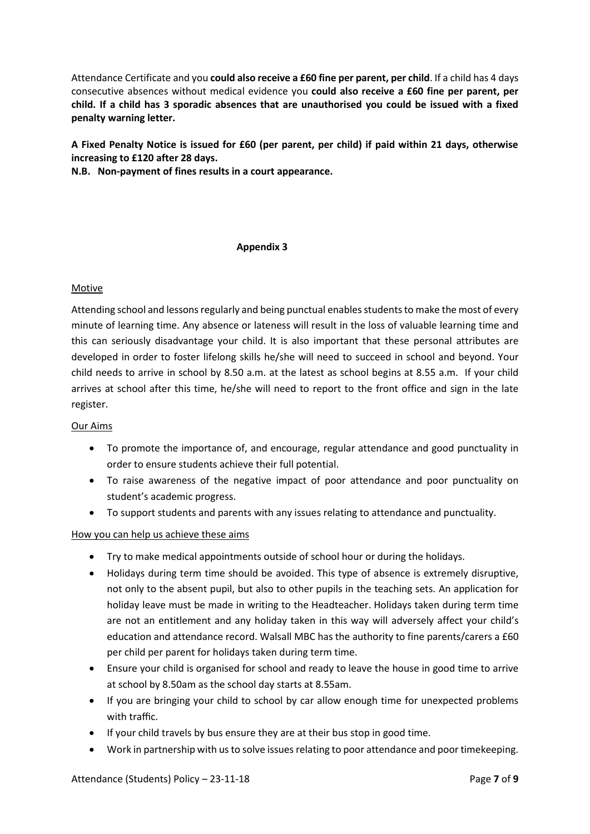Attendance Certificate and you **could also receive a £60 fine per parent, per child**. If a child has 4 days consecutive absences without medical evidence you **could also receive a £60 fine per parent, per child. If a child has 3 sporadic absences that are unauthorised you could be issued with a fixed penalty warning letter.** 

**A Fixed Penalty Notice is issued for £60 (per parent, per child) if paid within 21 days, otherwise increasing to £120 after 28 days.**

**N.B. Non-payment of fines results in a court appearance.**

#### **Appendix 3**

## Motive

Attending school and lessons regularly and being punctual enables students to make the most of every minute of learning time. Any absence or lateness will result in the loss of valuable learning time and this can seriously disadvantage your child. It is also important that these personal attributes are developed in order to foster lifelong skills he/she will need to succeed in school and beyond. Your child needs to arrive in school by 8.50 a.m. at the latest as school begins at 8.55 a.m. If your child arrives at school after this time, he/she will need to report to the front office and sign in the late register.

#### Our Aims

- To promote the importance of, and encourage, regular attendance and good punctuality in order to ensure students achieve their full potential.
- To raise awareness of the negative impact of poor attendance and poor punctuality on student's academic progress.
- To support students and parents with any issues relating to attendance and punctuality.

#### How you can help us achieve these aims

- Try to make medical appointments outside of school hour or during the holidays.
- Holidays during term time should be avoided. This type of absence is extremely disruptive, not only to the absent pupil, but also to other pupils in the teaching sets. An application for holiday leave must be made in writing to the Headteacher. Holidays taken during term time are not an entitlement and any holiday taken in this way will adversely affect your child's education and attendance record. Walsall MBC has the authority to fine parents/carers a £60 per child per parent for holidays taken during term time.
- Ensure your child is organised for school and ready to leave the house in good time to arrive at school by 8.50am as the school day starts at 8.55am.
- If you are bringing your child to school by car allow enough time for unexpected problems with traffic.
- If your child travels by bus ensure they are at their bus stop in good time.
- Work in partnership with us to solve issues relating to poor attendance and poor timekeeping.